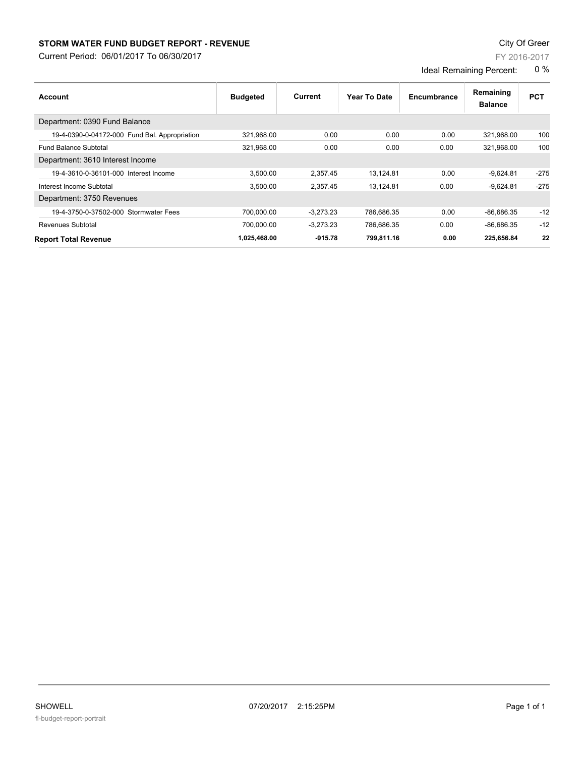## **STORM WATER FUND BUDGET REPORT - REVENUE CONSUMPTER STORM WATER FUND BUDGET REPORT - REVENUE**

Current Period: 06/01/2017 To 06/30/2017

| Page 1 o |  |
|----------|--|

| Account                                       | <b>Budgeted</b> | Current     | Year To Date | Encumbrance | Remaining<br><b>Balance</b> | <b>PCT</b> |
|-----------------------------------------------|-----------------|-------------|--------------|-------------|-----------------------------|------------|
| Department: 0390 Fund Balance                 |                 |             |              |             |                             |            |
| 19-4-0390-0-04172-000 Fund Bal. Appropriation | 321,968.00      | 0.00        | 0.00         | 0.00        | 321,968.00                  | 100        |
| <b>Fund Balance Subtotal</b>                  | 321.968.00      | 0.00        | 0.00         | 0.00        | 321.968.00                  | 100        |
| Department: 3610 Interest Income              |                 |             |              |             |                             |            |
| 19-4-3610-0-36101-000 Interest Income         | 3,500.00        | 2,357.45    | 13,124.81    | 0.00        | $-9,624.81$                 | $-275$     |
| Interest Income Subtotal                      | 3,500.00        | 2,357.45    | 13,124.81    | 0.00        | $-9,624.81$                 | $-275$     |
| Department: 3750 Revenues                     |                 |             |              |             |                             |            |
| 19-4-3750-0-37502-000 Stormwater Fees         | 700.000.00      | $-3.273.23$ | 786,686.35   | 0.00        | $-86,686.35$                | $-12$      |
| <b>Revenues Subtotal</b>                      | 700,000.00      | $-3,273.23$ | 786,686.35   | 0.00        | $-86,686.35$                | $-12$      |
| <b>Report Total Revenue</b>                   | 1,025,468.00    | $-915.78$   | 799,811.16   | 0.00        | 225,656.84                  | 22         |

FY 2016-2017

Ideal Remaining Percent: 0 %